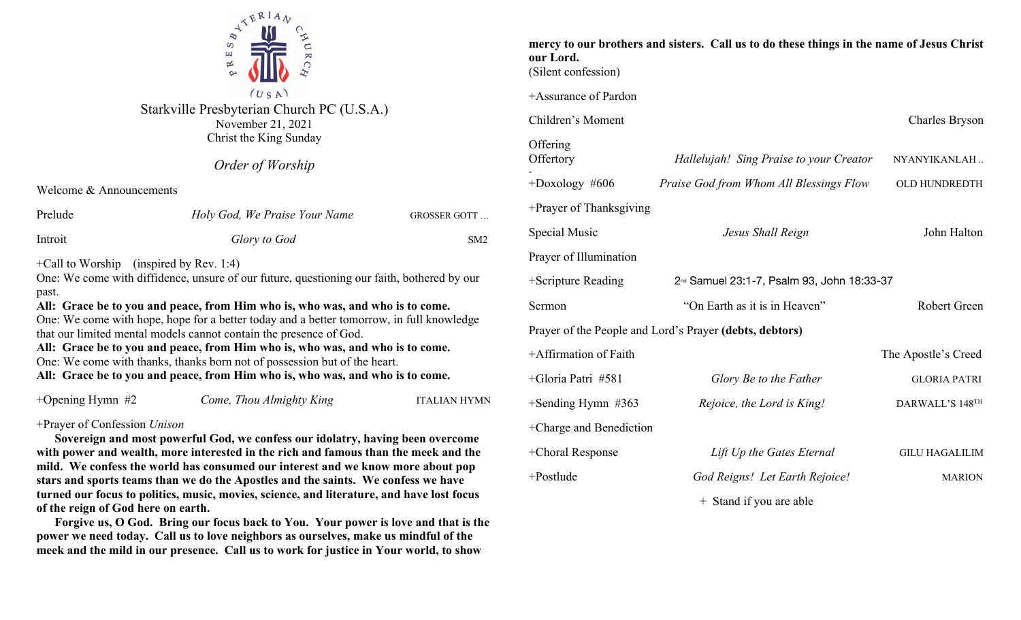

Starkville Presbyterian Church PC (U.S.A.) November 21, 2021 Christ the King Sunday

*Order of Worship*

Welcome & Announcements

| Prelude | Holy God, We Praise Your Name | GROSSER GOTT    |
|---------|-------------------------------|-----------------|
| Introit | Glory to God                  | SM <sub>2</sub> |

+Call to Worship (inspired by Rev. 1:4)

One: We come with diffidence, unsure of our future, questioning our faith, bothered by our past.

**All: Grace be to you and peace, from Him who is, who was, and who is to come.** One: We come with hope, hope for a better today and a better tomorrow, in full knowledge that our limited mental models cannot contain the presence of God.

**All: Grace be to you and peace, from Him who is, who was, and who is to come.** One: We come with thanks, thanks born not of possession but of the heart. **All: Grace be to you and peace, from Him who is, who was, and who is to come.**

| +Opening Hymn $#2$ | Come, Thou Almighty King | ITALIAN HYMN |
|--------------------|--------------------------|--------------|
|                    |                          |              |

## +Prayer of Confession *Unison*

**Sovereign and most powerful God, we confess our idolatry, having been overcome with power and wealth, more interested in the rich and famous than the meek and the mild. We confess the world has consumed our interest and we know more about pop stars and sports teams than we do the Apostles and the saints. We confess we have turned our focus to politics, music, movies, science, and literature, and have lost focus of the reign of God here on earth.**

**Forgive us, O God. Bring our focus back to You. Your power is love and that is the power we need today. Call us to love neighbors as ourselves, make us mindful of the meek and the mild in our presence. Call us to work for justice in Your world, to show** 

| mercy to our brothers and sisters. Call us to do these things in the name of Jesus Christ<br>our Lord.<br>(Silent confession) |                       |  |  |  |
|-------------------------------------------------------------------------------------------------------------------------------|-----------------------|--|--|--|
|                                                                                                                               |                       |  |  |  |
|                                                                                                                               | <b>Charles Bryson</b> |  |  |  |
| Hallelujah! Sing Praise to your Creator                                                                                       | NYANYIKANLAH          |  |  |  |
| Praise God from Whom All Blessings Flow                                                                                       | OLD HUNDREDTH         |  |  |  |
|                                                                                                                               |                       |  |  |  |
| Jesus Shall Reign                                                                                                             | John Halton           |  |  |  |
|                                                                                                                               |                       |  |  |  |
| +Scripture Reading<br>2 <sup>nd</sup> Samuel 23:1-7, Psalm 93, John 18:33-37                                                  |                       |  |  |  |
| "On Earth as it is in Heaven"                                                                                                 | Robert Green          |  |  |  |
| Prayer of the People and Lord's Prayer (debts, debtors)                                                                       |                       |  |  |  |
|                                                                                                                               | The Apostle's Creed   |  |  |  |
| Glory Be to the Father                                                                                                        | <b>GLORIA PATRI</b>   |  |  |  |
| Rejoice, the Lord is King!                                                                                                    | DARWALL'S 148TH       |  |  |  |
| +Charge and Benediction                                                                                                       |                       |  |  |  |
| Lift Up the Gates Eternal                                                                                                     | <b>GILU HAGALILIM</b> |  |  |  |
| God Reigns! Let Earth Rejoice!                                                                                                | <b>MARION</b>         |  |  |  |
|                                                                                                                               |                       |  |  |  |

+ Stand if you are able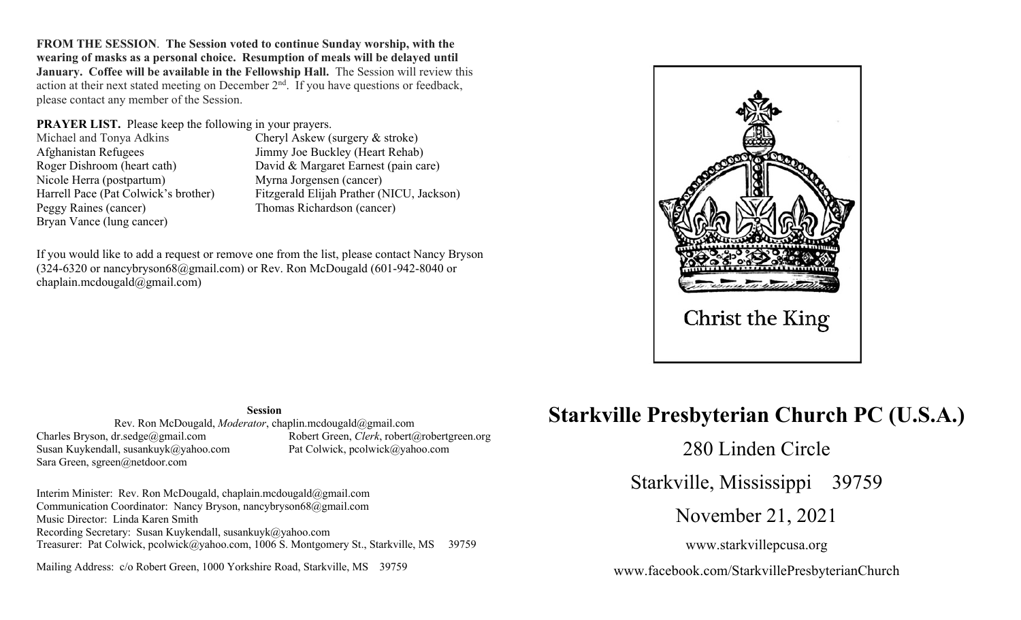**FROM THE SESSION**. **The Session voted to continue Sunday worship, with the wearing of masks as a personal choice. Resumption of meals will be delayed until January. Coffee will be available in the Fellowship Hall.** The Session will review this action at their next stated meeting on December  $2<sup>nd</sup>$ . If you have questions or feedback, please contact any member of the Session.

**PRAYER LIST.** Please keep the following in your prayers.

Michael and Tonya Adkins Cheryl Askew (surgery & stroke) Afghanistan Refugees Jimmy Joe Buckley (Heart Rehab) Nicole Herra (postpartum) Myrna Jorgensen (cancer) Peggy Raines (cancer) Thomas Richardson (cancer) Bryan Vance (lung cancer)

Roger Dishroom (heart cath) David & Margaret Earnest (pain care) Harrell Pace (Pat Colwick's brother) Fitzgerald Elijah Prather (NICU, Jackson)

If you would like to add a request or remove one from the list, please contact Nancy Bryson (324-6320 or nancybryson68@gmail.com) or Rev. Ron McDougald (601-942-8040 or chaplain.mcdougald@gmail.com)



## **Session**

Rev. Ron McDougald, *Moderator*, chaplin.mcdougald@gmail.com Charles Bryson, dr.sedge@gmail.com Robert Green, *Clerk*, robert@robertgreen.org Susan Kuykendall, susankuyk@yahoo.com Pat Colwick, pcolwick@yahoo.com Sara Green, sgreen@netdoor.com

Interim Minister: Rev. Ron McDougald, chaplain.mcdougald@gmail.com Communication Coordinator: Nancy Bryson, nancybryson68@gmail.com Music Director: Linda Karen Smith Recording Secretary: Susan Kuykendall, susankuyk@yahoo.com Treasurer: Pat Colwick, pcolwick@yahoo.com, 1006 S. Montgomery St., Starkville, MS 39759

Mailing Address: c/o Robert Green, 1000 Yorkshire Road, Starkville, MS 39759

## **Starkville Presbyterian Church PC (U.S.A.)**

280 Linden Circle

Starkville, Mississippi 39759

November 21, 2021

www.starkvillepcusa.org

www.facebook.com/StarkvillePresbyterianChurch